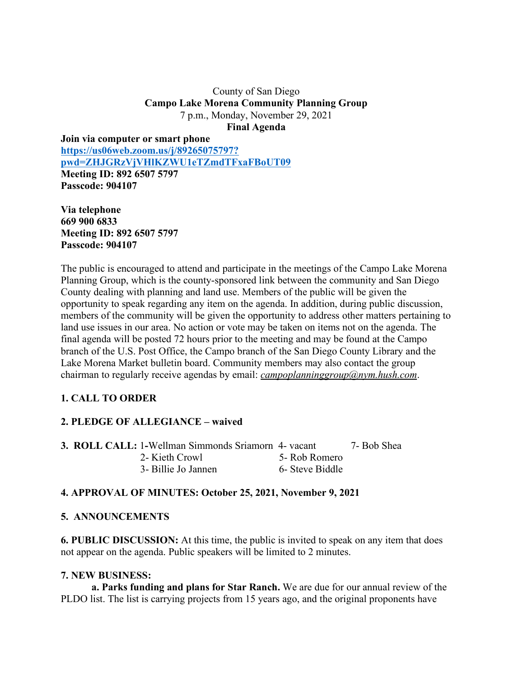#### County of San Diego **Campo Lake Morena Community Planning Group** 7 p.m., Monday, November 29, 2021 **Final Agenda**

**Join via computer or smart phone https://us06web.zoom.us/j/89265075797? pwd=ZHJGRzVjVHlKZWU1eTZmdTFxaFBoUT09 Meeting ID: 892 6507 5797 Passcode: 904107**

**Via telephone 669 900 6833 Meeting ID: 892 6507 5797 Passcode: 904107**

The public is encouraged to attend and participate in the meetings of the Campo Lake Morena Planning Group, which is the county-sponsored link between the community and San Diego County dealing with planning and land use. Members of the public will be given the opportunity to speak regarding any item on the agenda. In addition, during public discussion, members of the community will be given the opportunity to address other matters pertaining to land use issues in our area. No action or vote may be taken on items not on the agenda. The final agenda will be posted 72 hours prior to the meeting and may be found at the Campo branch of the U.S. Post Office, the Campo branch of the San Diego County Library and the Lake Morena Market bulletin board. Community members may also contact the group chairman to regularly receive agendas by email: *campoplanninggroup@nym.hush.com*.

# **1. CALL TO ORDER**

## **2. PLEDGE OF ALLEGIANCE – waived**

**3. ROLL CALL:** 1**-**Wellman Simmonds Sriamorn 4- vacant 7- Bob Shea 2- Kieth Crowl 5- Rob Romero 3- Billie Jo Jannen 6- Steve Biddle

#### **4. APPROVAL OF MINUTES: October 25, 2021, November 9, 2021**

#### **5. ANNOUNCEMENTS**

**6. PUBLIC DISCUSSION:** At this time, the public is invited to speak on any item that does not appear on the agenda. Public speakers will be limited to 2 minutes.

#### **7. NEW BUSINESS:**

**a. Parks funding and plans for Star Ranch.** We are due for our annual review of the PLDO list. The list is carrying projects from 15 years ago, and the original proponents have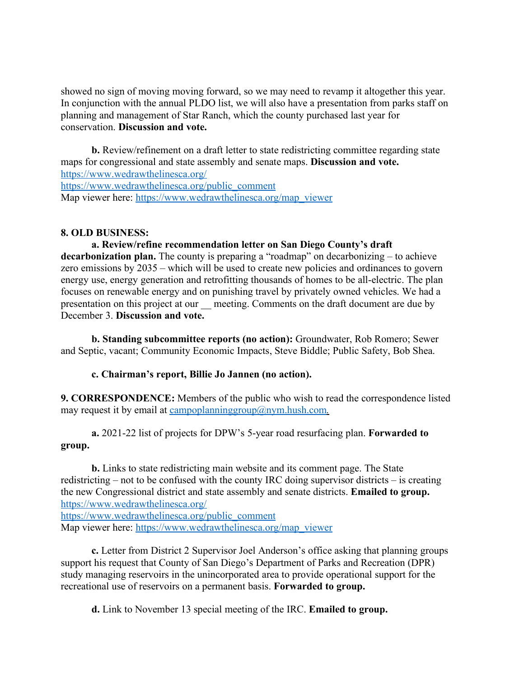showed no sign of moving moving forward, so we may need to revamp it altogether this year. In conjunction with the annual PLDO list, we will also have a presentation from parks staff on planning and management of Star Ranch, which the county purchased last year for conservation. **Discussion and vote.**

**b.** Review/refinement on a draft letter to state redistricting committee regarding state maps for congressional and state assembly and senate maps. **Discussion and vote.** https://www.wedrawthelinesca.org/ https://www.wedrawthelinesca.org/public\_comment Map viewer here: https://www.wedrawthelinesca.org/map\_viewer

#### **8. OLD BUSINESS:**

**a. Review/refine recommendation letter on San Diego County's draft decarbonization plan.** The county is preparing a "roadmap" on decarbonizing – to achieve zero emissions by 2035 – which will be used to create new policies and ordinances to govern energy use, energy generation and retrofitting thousands of homes to be all-electric. The plan focuses on renewable energy and on punishing travel by privately owned vehicles. We had a presentation on this project at our meeting. Comments on the draft document are due by December 3. **Discussion and vote.**

**b. Standing subcommittee reports (no action):** Groundwater, Rob Romero; Sewer and Septic, vacant; Community Economic Impacts, Steve Biddle; Public Safety, Bob Shea.

## **c. Chairman's report, Billie Jo Jannen (no action).**

**9. CORRESPONDENCE:** Members of the public who wish to read the correspondence listed may request it by email at campoplanninggroup@nym.hush.com.

**a.** 2021-22 list of projects for DPW's 5-year road resurfacing plan. **Forwarded to group.**

**b.** Links to state redistricting main website and its comment page. The State redistricting – not to be confused with the county IRC doing supervisor districts – is creating the new Congressional district and state assembly and senate districts. **Emailed to group.** https://www.wedrawthelinesca.org/

https://www.wedrawthelinesca.org/public\_comment Map viewer here: https://www.wedrawthelinesca.org/map\_viewer

**c.** Letter from District 2 Supervisor Joel Anderson's office asking that planning groups support his request that County of San Diego's Department of Parks and Recreation (DPR) study managing reservoirs in the unincorporated area to provide operational support for the recreational use of reservoirs on a permanent basis. **Forwarded to group.**

**d.** Link to November 13 special meeting of the IRC. **Emailed to group.**